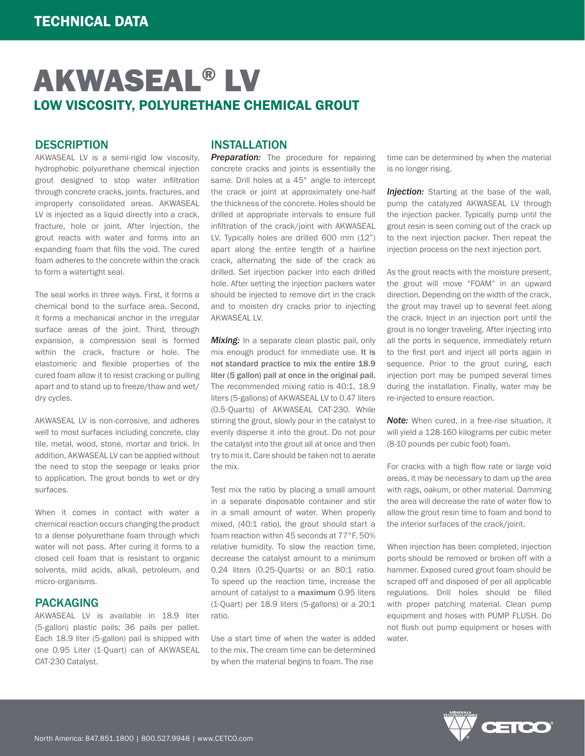# AKWASEAL® LV LOW VISCOSITY, POLYURETHANE CHEMICAL GROUT

### **DESCRIPTION**

AKWASEAL LV is a semi-rigid low viscosity, hydrophobic polyurethane chemical injection grout designed to stop water infiltration through concrete cracks, joints, fractures, and improperly consolidated areas. AKWASEAL LV is injected as a liquid directly into a crack, fracture, hole or joint. After injection, the grout reacts with water and forms into an expanding foam that fills the void. The cured foam adheres to the concrete within the crack to form a watertight seal.

The seal works in three ways. First, it forms a chemical bond to the surface area. Second, it forms a mechanical anchor in the irregular surface areas of the joint. Third, through expansion, a compression seal is formed within the crack, fracture or hole. The elastomeric and flexible properties of the cured foam allow it to resist cracking or pulling apart and to stand up to freeze/thaw and wet/ dry cycles.

AKWASEAL LV is non-corrosive, and adheres well to most surfaces including concrete, clay tile, metal, wood, stone, mortar and brick. In addition, AKWASEAL LV can be applied without the need to stop the seepage or leaks prior to application. The grout bonds to wet or dry surfaces.

When it comes in contact with water a chemical reaction occurs changing the product to a dense polyurethane foam through which water will not pass. After curing it forms to a closed cell foam that is resistant to organic solvents, mild acids, alkali, petroleum, and micro-organisms.

### PACKAGING

AKWASEAL LV is available in 18.9 liter (5-gallon) plastic pails; 36 pails per pallet. Each 18.9 liter (5-gallon) pail is shipped with one 0.95 Liter (1-Quart) can of AKWASEAL CAT-230 Catalyst.

### INSTALLATION

**Preparation:** The procedure for repairing concrete cracks and joints is essentially the same. Drill holes at a 45° angle to intercept the crack or joint at approximately one-half the thickness of the concrete. Holes should be drilled at appropriate intervals to ensure full infiltration of the crack/joint with AKWASEAL LV. Typically holes are drilled 600 mm (12") apart along the entire length of a hairline crack, alternating the side of the crack as drilled. Set injection packer into each drilled hole. After setting the injection packers water should be injected to remove dirt in the crack and to moisten dry cracks prior to injecting **AKWASEAL LV.** 

**Mixing:** In a separate clean plastic pail, only mix enough product for immediate use. It is not standard practice to mix the entire 18.9 liter (5 gallon) pail at once in the original pail. The recommended mixing ratio is 40:1, 18.9 liters (5-gallons) of AKWASEAL LV to 0.47 liters (0.5-Quarts) of AKWASEAL CAT-230. While stirring the grout, slowly pour in the catalyst to evenly disperse it into the grout. Do not pour the catalyst into the grout all at once and then try to mix it. Care should be taken not to aerate the mix.

Test mix the ratio by placing a small amount in a separate disposable container and stir in a small amount of water. When properly mixed, (40:1 ratio), the grout should start a foam reaction within 45 seconds at 77°F, 50% relative humidity. To slow the reaction time, decrease the catalyst amount to a minimum 0.24 liters (0.25-Quarts) or an 80:1 ratio. To speed up the reaction time, increase the amount of catalyst to a maximum 0.95 liters (1-Quart) per 18.9 liters (5-gallons) or a 20:1 ratio.

Use a start time of when the water is added to the mix. The cream time can be determined by when the material begins to foam. The rise

time can be determined by when the material is no longer rising.

**Injection:** Starting at the base of the wall. pump the catalyzed AKWASEAL LV through the injection packer. Typically pump until the grout resin is seen coming out of the crack up to the next injection packer. Then repeat the injection process on the next injection port.

As the grout reacts with the moisture present, the grout will move "FOAM" in an upward direction. Depending on the width of the crack, the grout may travel up to several feet along the crack. Inject in an injection port until the grout is no longer traveling. After injecting into all the ports in sequence, immediately return to the first port and inject all ports again in sequence. Prior to the grout curing, each injection port may be pumped several times during the installation. Finally, water may be re-injected to ensure reaction.

*Note:* When cured, in a free-rise situation, it will yield a 128-160 kilograms per cubic meter (8-10 pounds per cubic foot) foam.

For cracks with a high flow rate or large void areas, it may be necessary to dam up the area with rags, oakum, or other material. Damming the area will decrease the rate of water flow to allow the grout resin time to foam and bond to the interior surfaces of the crack/joint.

When injection has been completed, injection ports should be removed or broken off with a hammer. Exposed cured grout foam should be scraped off and disposed of per all applicable regulations. Drill holes should be filled with proper patching material. Clean pump equipment and hoses with PUMP FLUSH. Do not flush out pump equipment or hoses with water.